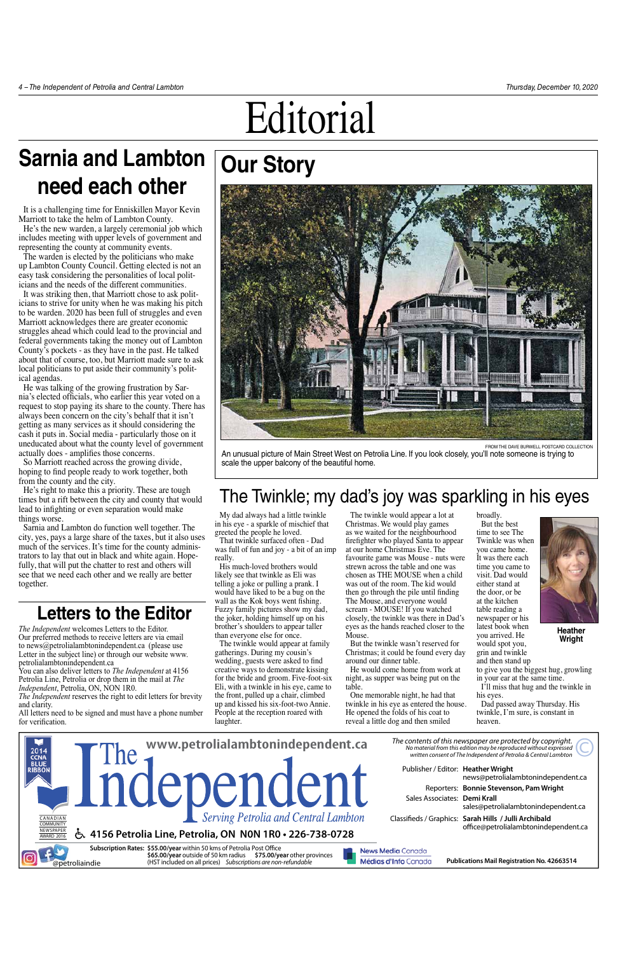## **Our Story**

*The Independent* welcomes Letters to the Editor. Our preferred methods to receive letters are via email to news@petrolialambtonindependent.ca (please use Letter in the subject line) or through our website www. petrolialambtonindependent.ca

You can also deliver letters to *The Independent* at 4156 Petrolia Line, Petrolia or drop them in the mail at *The Independent*, Petrolia, ON, NON 1R0.

*The Independent* reserves the right to edit letters for brevity

and clarity. All letters need to be signed and must have a phone number for verification.

### **Letters to the Editor**



from the Dave burwell postcard collection

An unusual picture of Main Street West on Petrolia Line. If you look closely, you'll note someone is trying to scale the upper balcony of the beautiful home.

### The Twinkle; my dad's joy was sparkling in his eyes

My dad always had a little twinkle in his eye - a sparkle of mischief that greeted the people he loved. That twinkle surfaced often - Dad

was full of fun and joy - a bit of an imp really. His much-loved brothers would

likely see that twinkle as Eli was telling a joke or pulling a prank. I would have liked to be a bug on the wall as the Kok boys went fishing. Fuzzy family pictures show my dad, the joker, holding himself up on his brother's shoulders to appear taller than everyone else for once.

The twinkle would appear at family gatherings. During my cousin's wedding, guests were asked to find creative ways to demonstrate kissing for the bride and groom. Five-foot-six Eli, with a twinkle in his eye, came to the front, pulled up a chair, climbed

up and kissed his six-foot-two Annie. People at the reception roared with laughter.

The twinkle would appear a lot at Christmas. We would play games as we waited for the neighbourhood firefighter who played Santa to appear at our home Christmas Eve. The favourite game was Mouse - nuts were strewn across the table and one was chosen as THE MOUSE when a child was out of the room. The kid would then go through the pile until finding The Mouse, and everyone would scream - MOUSE! If you watched closely, the twinkle was there in Dad's eyes as the hands reached closer to the Mouse.

But the twinkle wasn't reserved for Christmas; it could be found every day around our dinner table.

He would come home from work at night, as supper was being put on the table.

One memorable night, he had that

twinkle in his eye as entered the house. He opened the folds of his coat to reveal a little dog and then smiled

broadly. But the best time to see The Twinkle was when you came home. It was there each time you came to visit. Dad would either stand at the door, or be at the kitchen table reading a newspaper or his latest book when you arrived. He would spot you, grin and twinkle

and then stand up to give you the biggest hug, growling in your ear at the same time.

I'll miss that hug and the twinkle in his eyes.

Dad passed away Thursday. His twinkle, I'm sure, is constant in heaven.

# **Sarnia and Lambton need each other**

It is a challenging time for Enniskillen Mayor Kevin Marriott to take the helm of Lambton County.

He's the new warden, a largely ceremonial job which includes meeting with upper levels of government and representing the county at community events.

The warden is elected by the politicians who make up Lambton County Council. Getting elected is not an easy task considering the personalities of local politicians and the needs of the different communities.

It was striking then, that Marriott chose to ask politicians to strive for unity when he was making his pitch to be warden. 2020 has been full of struggles and even Marriott acknowledges there are greater economic struggles ahead which could lead to the provincial and federal governments taking the money out of Lambton County's pockets - as they have in the past. He talked about that of course, too, but Marriott made sure to ask local politicians to put aside their community's political agendas.

He was talking of the growing frustration by Sarnia's elected officials, who earlier this year voted on a request to stop paying its share to the county. There has always been concern on the city's behalf that it isn't getting as many services as it should considering the cash it puts in. Social media - particularly those on it uneducated about what the county level of government actually does - amplifies those concerns.

So Marriott reached across the growing divide, hoping to find people ready to work together, both from the county and the city.

He's right to make this a priority. These are tough times but a rift between the city and county that would lead to infighting or even separation would make things worse.

Sarnia and Lambton do function well together. The city, yes, pays a large share of the taxes, but it also uses much of the services. It's time for the county administrators to lay that out in black and white again. Hopefully, that will put the chatter to rest and others will see that we need each other and we really are better together.



**Heather Wright**

# Editorial

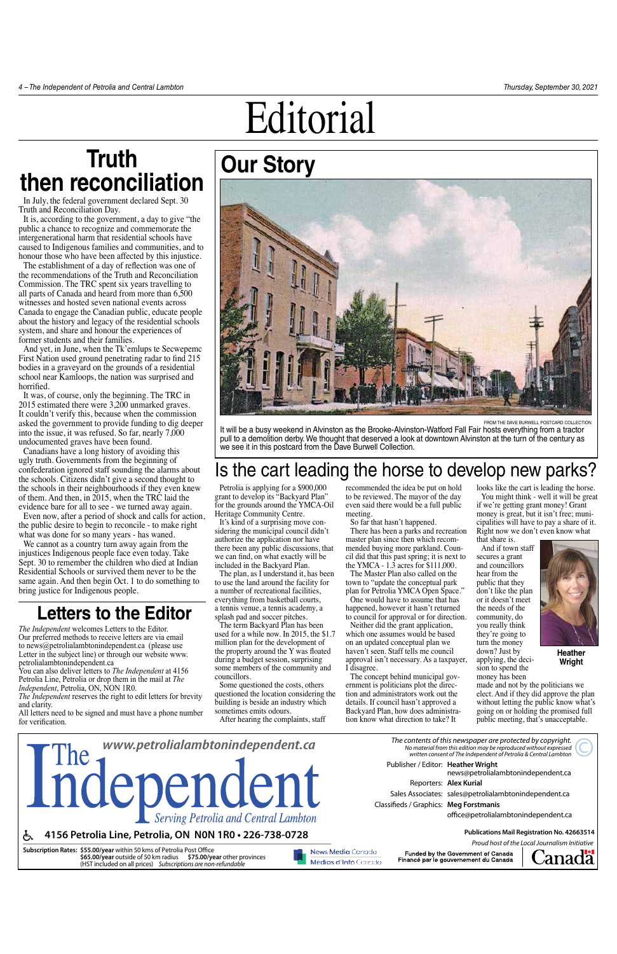*The Independent* welcomes Letters to the Editor. Our preferred methods to receive letters are via email to news@petrolialambtonindependent.ca (please use Letter in the subject line) or through our website www. petrolialambtonindependent.ca

You can also deliver letters to *The Independent* at 4156 Petrolia Line, Petrolia or drop them in the mail at *The Independent*, Petrolia, ON, NON 1R0.

*The Independent* reserves the right to edit letters for brevity



FROM THE DAVE BURWELL POSTCARD COLLECTION It will be a busy weekend in Alvinston as the Brooke-Alvinston-Watford Fall Fair hosts everything from a tractor pull to a demolition derby. We thought that deserved a look at downtown Alvinston at the turn of the century as we see it in this postcard from the Dave Burwell Collection.

and clarity. All letters need to be signed and must have a phone number for verification.

### **Letters to the Editor**

## Is the cart leading the horse to develop new parks?

Petrolia is applying for a \$900,000 grant to develop its "Backyard Plan" for the grounds around the YMCA-Oil Heritage Community Centre.

It's kind of a surprising move considering the municipal council didn't authorize the application nor have there been any public discussions, that we can find, on what exactly will be included in the Backyard Plan.

The plan, as I understand it, has been to use the land around the facility for a number of recreational facilities, everything from basketball courts, a tennis venue, a tennis academy, a splash pad and soccer pitches.

looks like the cart is leading the horse. You might think - well it will be great

The term Backyard Plan has been used for a while now. In 2015, the \$1.7 million plan for the development of the property around the Y was floated during a budget session, surprising some members of the community and councillors.

Some questioned the costs, others questioned the location considering the building is beside an industry which sometimes emits odours. After hearing the complaints, staff

recommended the idea be put on hold to be reviewed. The mayor of the day even said there would be a full public meeting.

So far that hasn't happened.

There has been a parks and recreation master plan since then which recommended buying more parkland. Council did that this past spring; it is next to the YMCA - 1.3 acres for \$111,000.

The Master Plan also called on the town to "update the conceptual park plan for Petrolia YMCA Open Space." One would have to assume that has happened, however it hasn't returned to council for approval or for direction.

Neither did the grant application, which one assumes would be based on an updated conceptual plan we haven't seen. Staff tells me council approval isn't necessary. As a taxpayer, I disagree.

The concept behind municipal government is politicians plot the direc tion and administrators work out the details. If council hasn't approved a Backyard Plan, how does administra tion know what direction to take? It

if we're getting grant money! Grant money is great, but it isn't free; municipalities will have to pay a share of it. Right now we don't even know what

that share is. And if town staff secures a grant and councillors hear from the public that they don't like the plan or it doesn't meet the needs of the community, do you really think they're going to turn the money down? Just by applying, the decision to spend the

money has been made and not by the politicians we elect. And if they did approve the plan without letting the public know what's going on or holding the promised full public meeting, that's unacceptable.

## **Truth then reconciliation**

In July, the federal government declared Sept. 30 Truth and Reconciliation Day.

It is, according to the government, a day to give "the public a chance to recognize and commemorate the intergenerational harm that residential schools have caused to Indigenous families and communities, and to honour those who have been affected by this injustice.

The establishment of a day of reflection was one of the recommendations of the Truth and Reconciliation Commission. The TRC spent six years travelling to all parts of Canada and heard from more than 6,500 witnesses and hosted seven national events across Canada to engage the Canadian public, educate people about the history and legacy of the residential schools system, and share and honour the experiences of former students and their families.

And yet, in June, when the Tk'emlups te Secwepemc First Nation used ground penetrating radar to find 215 bodies in a graveyard on the grounds of a residential school near Kamloops, the nation was surprised and horrified.

It was, of course, only the beginning. The TRC in 2015 estimated there were 3,200 unmarked graves. It couldn't verify this, because when the commission asked the government to provide funding to dig deeper into the issue, it was refused. So far, nearly 7,000 undocumented graves have been found.

Canadians have a long history of avoiding this ugly truth. Governments from the beginning of confederation ignored staff sounding the alarms about the schools. Citizens didn't give a second thought to the schools in their neighbourhoods if they even knew of them. And then, in 2015, when the TRC laid the evidence bare for all to see - we turned away again.

Even now, after a period of shock and calls for action, the public desire to begin to reconcile - to make right what was done for so many years - has waned.

We cannot as a country turn away again from the injustices Indigenous people face even today. Take Sept. 30 to remember the children who died at Indian Residential Schools or survived them never to be the same again. And then begin Oct. 1 to do something to bring justice for Indigenous people.



**Heather Wright**

# Editorial